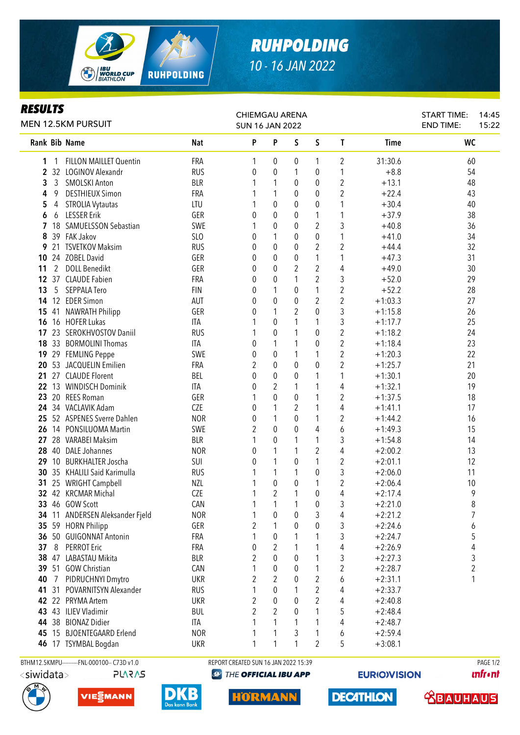

## *RUHPOLDING 10 - 16 JAN 2022*

## *RESULTS*

| rejulij<br><b>MEN 12.5KM PURSUIT</b>              |                   | <b>CHIEMGAU ARENA</b><br><b>SUN 16 JAN 2022</b> |                              |                | <b>START TIME:</b><br><b>END TIME:</b> | 14:45<br>15:22   |                        |           |  |
|---------------------------------------------------|-------------------|-------------------------------------------------|------------------------------|----------------|----------------------------------------|------------------|------------------------|-----------|--|
| <b>Rank Bib Name</b>                              | <b>Nat</b>        | P                                               | P                            | S              | $\mathsf S$                            | T                | Time                   | <b>WC</b> |  |
| <b>FILLON MAILLET Quentin</b><br>1<br>1           | <b>FRA</b>        | 1                                               | 0                            | 0              | 1                                      | 2                | 31:30.6                | 60        |  |
| LOGINOV Alexandr<br>$\overline{2}$<br>32          | <b>RUS</b>        | 0                                               | 0                            | 1              | $\pmb{0}$                              | 1                | $+8.8$                 | 54        |  |
| 3<br>$\mathfrak{Z}$<br><b>SMOLSKI Anton</b>       | <b>BLR</b>        |                                                 | 1                            | 0              | $\pmb{0}$                              | $\boldsymbol{2}$ | $+13.1$                | 48        |  |
| 4<br>9<br><b>DESTHIEUX Simon</b>                  | FRA               |                                                 | 1                            | 0              | 0                                      | $\overline{2}$   | $+22.4$                | 43        |  |
| 5<br>4<br><b>STROLIA Vytautas</b>                 | LTU               |                                                 | $\boldsymbol{0}$             | 0              | 0                                      | 1                | $+30.4$                | 40        |  |
| <b>LESSER Erik</b><br>6<br>6                      | GER               | 0                                               | $\boldsymbol{0}$             | 0              | 1                                      | 1                | $+37.9$                | 38        |  |
| $\mathbf{7}$<br>18<br><b>SAMUELSSON Sebastian</b> | SWE               |                                                 | $\boldsymbol{0}$             | 0              | 2                                      | 3                | $+40.8$                | 36        |  |
| 39 FAK Jakov<br>8                                 | SLO               | 0                                               | 1                            | 0              | $\pmb{0}$                              | 1                | $+41.0$                | 34        |  |
| 21<br><b>TSVETKOV Maksim</b><br>9.                | <b>RUS</b>        | 0                                               | 0                            | 0              | $\overline{2}$                         | $\overline{2}$   | $+44.4$                | 32        |  |
| 24 ZOBEL David<br>10                              | GER               | 0                                               | 0                            | 0              | 1                                      | 1                | $+47.3$                | 31        |  |
| 2<br><b>DOLL Benedikt</b><br>11                   | GER               | 0                                               | $\mathbf 0$                  | 2              | $\overline{2}$                         | 4                | $+49.0$                | 30        |  |
| 37 CLAUDE Fabien<br>12 <sup>°</sup>               | FRA               | 0                                               | 0                            | 1              | $\overline{2}$                         | 3                | $+52.0$                | 29        |  |
| 13<br>5<br>SEPPALA Tero                           | <b>FIN</b>        | 0                                               | 1                            | 0              | 1                                      | $\overline{2}$   | $+52.2$                | 28        |  |
| 14 12 EDER Simon                                  | AUT               | 0                                               | 0                            | 0              | 2                                      | $\overline{2}$   | $+1:03.3$              | 27        |  |
| <b>NAWRATH Philipp</b><br>15<br>41                | GER               | 0                                               | 1                            | $\overline{2}$ | 0                                      | 3                | $+1:15.8$              | 26        |  |
| 16 16 HOFER Lukas                                 | ITA               |                                                 | 0                            | 1              | 1                                      | 3                | $+1:17.7$              | 25        |  |
| 23 SEROKHVOSTOV Daniil<br>17                      | <b>RUS</b>        |                                                 | 0                            |                | $\mathbf 0$                            | $\overline{2}$   | $+1:18.2$              | 24        |  |
| 18 33 BORMOLINI Thomas                            | <b>ITA</b>        | 0                                               | 1                            | 1              | 0                                      | $\overline{2}$   | $+1:18.4$              | 23        |  |
| 29 FEMLING Peppe<br>19                            | SWE               | 0                                               | 0                            | 1              | 1                                      | $\overline{2}$   | $+1:20.3$<br>$+1:25.7$ | 22        |  |
| 53 JACQUELIN Emilien<br>20<br>27 CLAUDE Florent   | FRA               | 2                                               | 0                            | 0              | 0                                      | $\overline{2}$   |                        | 21        |  |
| 21<br>13 WINDISCH Dominik                         | BEL<br><b>ITA</b> | 0                                               | 0                            | $\theta$       | 1                                      | 1                | $+1:30.1$<br>$+1:32.1$ | 20<br>19  |  |
| 22<br>20 REES Roman<br>23                         | GER               | 0<br>1                                          | $\overline{\mathbf{c}}$<br>0 | 1<br>$\theta$  | 1<br>1                                 | 4<br>2           | $+1:37.5$              | 18        |  |
| 34 VACLAVIK Adam<br>24                            | <b>CZE</b>        | 0                                               | 1                            | 2              | 1                                      | 4                | $+1:41.1$              | 17        |  |
| 25 52 ASPENES Sverre Dahlen                       | <b>NOR</b>        | 0                                               | 1                            | 0              | 1                                      | $\overline{2}$   | $+1:44.2$              | 16        |  |
| 14 PONSILUOMA Martin<br>26                        | SWE               | $\overline{2}$                                  | $\mathbf 0$                  | 0              | 4                                      | 6                | $+1:49.3$              | 15        |  |
| 28 VARABEI Maksim<br>27                           | <b>BLR</b>        | 1                                               | $\boldsymbol{0}$             | 1              | 1                                      | 3                | $+1:54.8$              | 14        |  |
| 28 40 DALE Johannes                               | <b>NOR</b>        | 0                                               | 1                            | 1              | $\overline{2}$                         | 4                | $+2:00.2$              | 13        |  |
| 29 10 BURKHALTER Joscha                           | SUI               | 0                                               | 1                            | 0              | 1                                      | $\overline{2}$   | $+2:01.1$              | 12        |  |
| 30<br>35 KHALILI Said Karimulla                   | <b>RUS</b>        |                                                 | 1                            | 1              | $\pmb{0}$                              | 3                | $+2:06.0$              | 11        |  |
| 25 WRIGHT Campbell<br>31                          | NZL               |                                                 | $\boldsymbol{0}$             | 0              | 1                                      | $\overline{2}$   | $+2:06.4$              | 10        |  |
| 32 42 KRCMAR Michal                               | <b>CZE</b>        | 1                                               | $\overline{2}$               | 1              | 0                                      | 4                | $+2:17.4$              | 9         |  |
| 46 GOW Scott<br>33                                | CAN               |                                                 |                              |                | 0                                      | 3                | $+2:21.0$              | 8         |  |
| 11 ANDERSEN Aleksander Fjeld<br>34                | <b>NOR</b>        | 1                                               | 0                            | 0              | 3                                      | 4                | $+2:21.2$              | 7         |  |
| 59 HORN Philipp<br>35 <sub>1</sub>                | GER               | $\overline{2}$                                  | 1                            | $\theta$       | 0                                      | 3                | $+2:24.6$              | 6         |  |
| 50 GUIGONNAT Antonin<br>36                        | FRA               | 1                                               | 0                            |                | 1                                      | 3                | $+2:24.7$              | 5         |  |
| <b>PERROT Eric</b><br>37<br>8                     | FRA               | 0                                               | 2                            |                | 1                                      | 4                | $+2:26.9$              | 4         |  |
| 38<br>LABASTAU Mikita<br>47                       | <b>BLR</b>        | 2                                               | 0                            | 0              | 1                                      | 3                | $+2:27.3$              | 3         |  |
| 39 51 GOW Christian                               | CAN               | 1                                               | 0                            | 0              | 1                                      | $\boldsymbol{2}$ | $+2:28.7$              | 2         |  |
| PIDRUCHNYI Dmytro<br>40<br>7                      | <b>UKR</b>        | 2                                               | $\overline{2}$               | 0              | $\overline{2}$                         | 6                | $+2:31.1$              | 1         |  |
| POVARNITSYN Alexander<br>41<br>31                 | <b>RUS</b>        | 1                                               | 0                            |                | $\overline{2}$                         | 4                | $+2:33.7$              |           |  |
| 42<br>PRYMA Artem<br>22                           | <b>UKR</b>        | 2                                               | 0                            | $\theta$       | $\overline{2}$                         | 4                | $+2:40.8$              |           |  |
| 43 43<br><b>ILIEV Vladimir</b>                    | <b>BUL</b>        | $\overline{2}$                                  | 2                            | $\theta$       | $\mathbf{1}$                           | 5                | $+2:48.4$              |           |  |
| 38 BIONAZ Didier<br>44                            | ITA               | 1                                               | 1                            | 1              | 1                                      | 4                | $+2:48.7$              |           |  |
| 15 BJOENTEGAARD Erlend<br>45                      | <b>NOR</b>        | 1                                               | 1                            | 3              | 1                                      | 6                | $+2:59.4$              |           |  |
| 17 TSYMBAL Bogdan<br>46                           | UKR               | 1                                               | 1                            | 1              | $\overline{2}$                         | 5                | $+3:08.1$              |           |  |
|                                                   |                   |                                                 |                              |                |                                        |                  |                        |           |  |

**PLARAS** 

BTHM12.5KMPU---------FNL-000100-- C73D v1.0 REPORT CREATED SUN 16 JAN 2022 15:39 PAGE 1/2

**@ THE OFFICIAL IBU APP** 

**EURIO)VISION** 













**unfront**